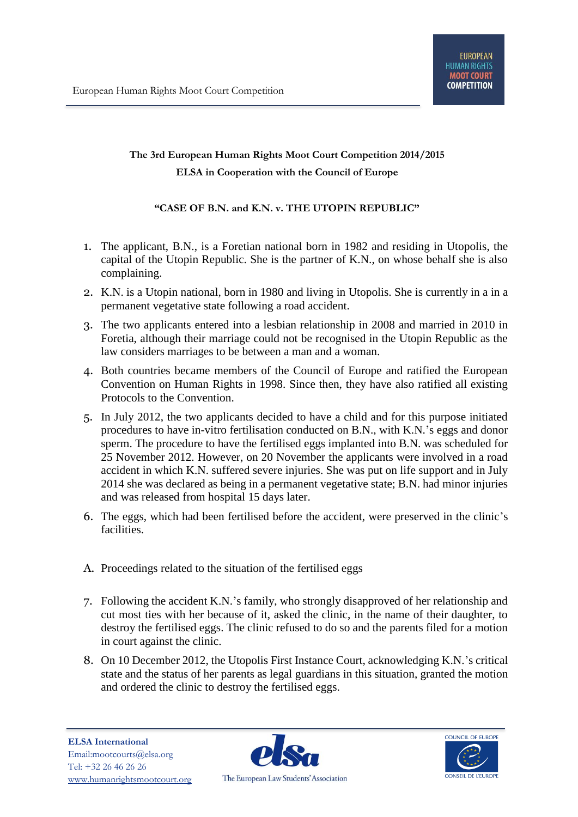## **The 3rd European Human Rights Moot Court Competition 2014/2015 ELSA in Cooperation with the Council of Europe**

## **"CASE OF B.N. and K.N. v. THE UTOPIN REPUBLIC"**

- 1. The applicant, B.N., is a Foretian national born in 1982 and residing in Utopolis, the capital of the Utopin Republic. She is the partner of K.N., on whose behalf she is also complaining.
- 2. K.N. is a Utopin national, born in 1980 and living in Utopolis. She is currently in a in a permanent vegetative state following a road accident.
- 3. The two applicants entered into a lesbian relationship in 2008 and married in 2010 in Foretia, although their marriage could not be recognised in the Utopin Republic as the law considers marriages to be between a man and a woman.
- 4. Both countries became members of the Council of Europe and ratified the European Convention on Human Rights in 1998. Since then, they have also ratified all existing Protocols to the Convention.
- 5. In July 2012, the two applicants decided to have a child and for this purpose initiated procedures to have in-vitro fertilisation conducted on B.N., with K.N.'s eggs and donor sperm. The procedure to have the fertilised eggs implanted into B.N. was scheduled for 25 November 2012. However, on 20 November the applicants were involved in a road accident in which K.N. suffered severe injuries. She was put on life support and in July 2014 she was declared as being in a permanent vegetative state; B.N. had minor injuries and was released from hospital 15 days later.
- 6. The eggs, which had been fertilised before the accident, were preserved in the clinic's facilities.
- A. Proceedings related to the situation of the fertilised eggs
- 7. Following the accident K.N.'s family, who strongly disapproved of her relationship and cut most ties with her because of it, asked the clinic, in the name of their daughter, to destroy the fertilised eggs. The clinic refused to do so and the parents filed for a motion in court against the clinic.
- 8. On 10 December 2012, the Utopolis First Instance Court, acknowledging K.N.'s critical state and the status of her parents as legal guardians in this situation, granted the motion and ordered the clinic to destroy the fertilised eggs.



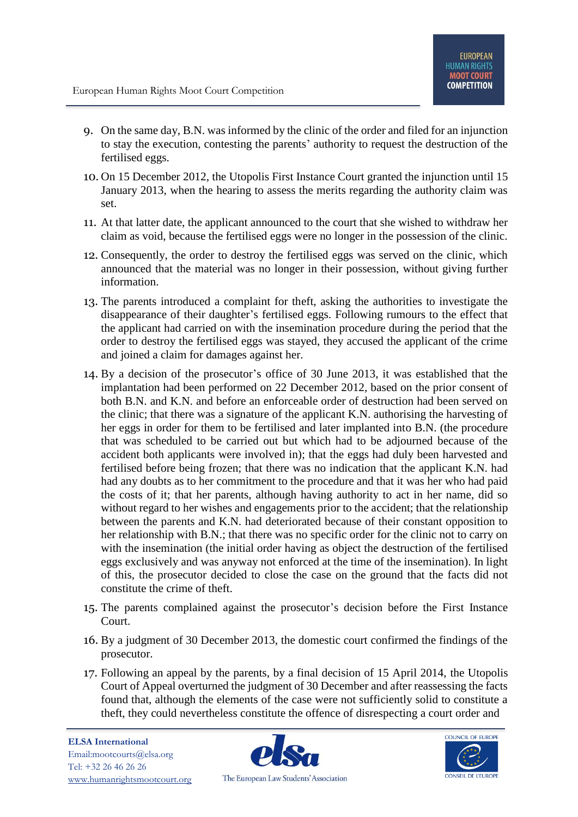- 9. On the same day, B.N. was informed by the clinic of the order and filed for an injunction to stay the execution, contesting the parents' authority to request the destruction of the fertilised eggs.
- 10. On 15 December 2012, the Utopolis First Instance Court granted the injunction until 15 January 2013, when the hearing to assess the merits regarding the authority claim was set.
- 11. At that latter date, the applicant announced to the court that she wished to withdraw her claim as void, because the fertilised eggs were no longer in the possession of the clinic.
- 12. Consequently, the order to destroy the fertilised eggs was served on the clinic, which announced that the material was no longer in their possession, without giving further information.
- 13. The parents introduced a complaint for theft, asking the authorities to investigate the disappearance of their daughter's fertilised eggs. Following rumours to the effect that the applicant had carried on with the insemination procedure during the period that the order to destroy the fertilised eggs was stayed, they accused the applicant of the crime and joined a claim for damages against her.
- 14. By a decision of the prosecutor's office of 30 June 2013, it was established that the implantation had been performed on 22 December 2012, based on the prior consent of both B.N. and K.N. and before an enforceable order of destruction had been served on the clinic; that there was a signature of the applicant K.N. authorising the harvesting of her eggs in order for them to be fertilised and later implanted into B.N. (the procedure that was scheduled to be carried out but which had to be adjourned because of the accident both applicants were involved in); that the eggs had duly been harvested and fertilised before being frozen; that there was no indication that the applicant K.N. had had any doubts as to her commitment to the procedure and that it was her who had paid the costs of it; that her parents, although having authority to act in her name, did so without regard to her wishes and engagements prior to the accident; that the relationship between the parents and K.N. had deteriorated because of their constant opposition to her relationship with B.N.; that there was no specific order for the clinic not to carry on with the insemination (the initial order having as object the destruction of the fertilised eggs exclusively and was anyway not enforced at the time of the insemination). In light of this, the prosecutor decided to close the case on the ground that the facts did not constitute the crime of theft.
- 15. The parents complained against the prosecutor's decision before the First Instance Court.
- 16. By a judgment of 30 December 2013, the domestic court confirmed the findings of the prosecutor.
- 17. Following an appeal by the parents, by a final decision of 15 April 2014, the Utopolis Court of Appeal overturned the judgment of 30 December and after reassessing the facts found that, although the elements of the case were not sufficiently solid to constitute a theft, they could nevertheless constitute the offence of disrespecting a court order and



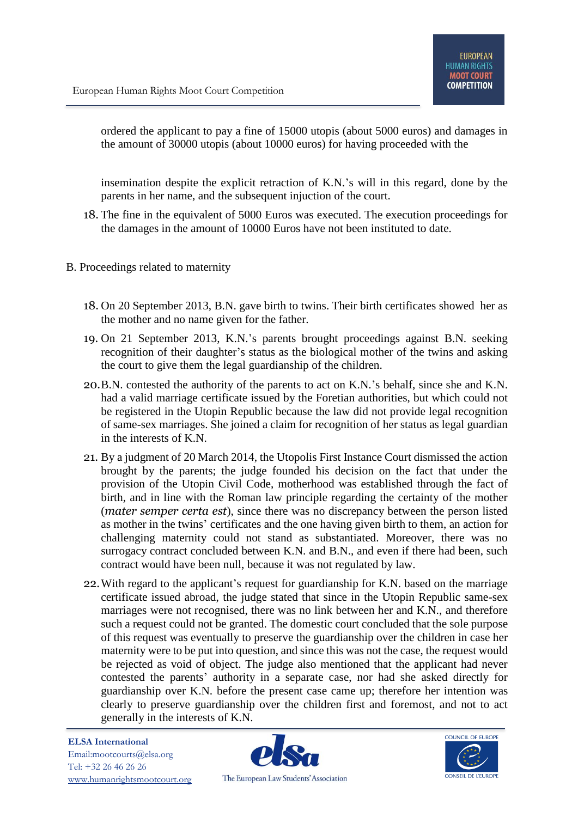ordered the applicant to pay a fine of 15000 utopis (about 5000 euros) and damages in the amount of 30000 utopis (about 10000 euros) for having proceeded with the

insemination despite the explicit retraction of K.N.'s will in this regard, done by the parents in her name, and the subsequent injuction of the court.

- 18. The fine in the equivalent of 5000 Euros was executed. The execution proceedings for the damages in the amount of 10000 Euros have not been instituted to date.
- B. Proceedings related to maternity
	- 18. On 20 September 2013, B.N. gave birth to twins. Their birth certificates showed her as the mother and no name given for the father.
	- 19. On 21 September 2013, K.N.'s parents brought proceedings against B.N. seeking recognition of their daughter's status as the biological mother of the twins and asking the court to give them the legal guardianship of the children.
	- 20.B.N. contested the authority of the parents to act on K.N.'s behalf, since she and K.N. had a valid marriage certificate issued by the Foretian authorities, but which could not be registered in the Utopin Republic because the law did not provide legal recognition of same-sex marriages. She joined a claim for recognition of her status as legal guardian in the interests of K.N.
	- 21. By a judgment of 20 March 2014, the Utopolis First Instance Court dismissed the action brought by the parents; the judge founded his decision on the fact that under the provision of the Utopin Civil Code, motherhood was established through the fact of birth, and in line with the Roman law principle regarding the certainty of the mother (*mater semper certa est*), since there was no discrepancy between the person listed as mother in the twins' certificates and the one having given birth to them, an action for challenging maternity could not stand as substantiated. Moreover, there was no surrogacy contract concluded between K.N. and B.N., and even if there had been, such contract would have been null, because it was not regulated by law.
	- 22.With regard to the applicant's request for guardianship for K.N. based on the marriage certificate issued abroad, the judge stated that since in the Utopin Republic same-sex marriages were not recognised, there was no link between her and K.N., and therefore such a request could not be granted. The domestic court concluded that the sole purpose of this request was eventually to preserve the guardianship over the children in case her maternity were to be put into question, and since this was not the case, the request would be rejected as void of object. The judge also mentioned that the applicant had never contested the parents' authority in a separate case, nor had she asked directly for guardianship over K.N. before the present case came up; therefore her intention was clearly to preserve guardianship over the children first and foremost, and not to act generally in the interests of K.N.



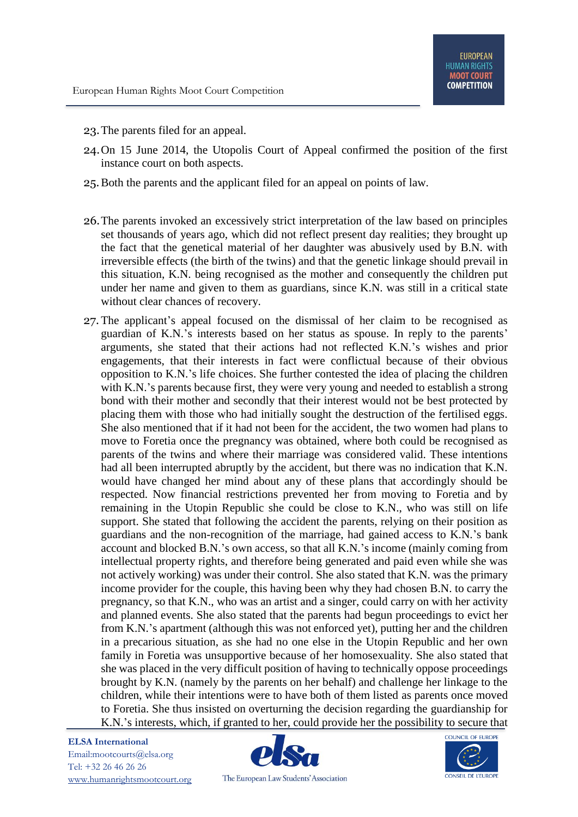- 23.The parents filed for an appeal.
- 24.On 15 June 2014, the Utopolis Court of Appeal confirmed the position of the first instance court on both aspects.
- 25.Both the parents and the applicant filed for an appeal on points of law.
- 26.The parents invoked an excessively strict interpretation of the law based on principles set thousands of years ago, which did not reflect present day realities; they brought up the fact that the genetical material of her daughter was abusively used by B.N. with irreversible effects (the birth of the twins) and that the genetic linkage should prevail in this situation, K.N. being recognised as the mother and consequently the children put under her name and given to them as guardians, since K.N. was still in a critical state without clear chances of recovery.
- 27. The applicant's appeal focused on the dismissal of her claim to be recognised as guardian of K.N.'s interests based on her status as spouse. In reply to the parents' arguments, she stated that their actions had not reflected K.N.'s wishes and prior engagements, that their interests in fact were conflictual because of their obvious opposition to K.N.'s life choices. She further contested the idea of placing the children with K.N.'s parents because first, they were very young and needed to establish a strong bond with their mother and secondly that their interest would not be best protected by placing them with those who had initially sought the destruction of the fertilised eggs. She also mentioned that if it had not been for the accident, the two women had plans to move to Foretia once the pregnancy was obtained, where both could be recognised as parents of the twins and where their marriage was considered valid. These intentions had all been interrupted abruptly by the accident, but there was no indication that K.N. would have changed her mind about any of these plans that accordingly should be respected. Now financial restrictions prevented her from moving to Foretia and by remaining in the Utopin Republic she could be close to K.N., who was still on life support. She stated that following the accident the parents, relying on their position as guardians and the non-recognition of the marriage, had gained access to K.N.'s bank account and blocked B.N.'s own access, so that all K.N.'s income (mainly coming from intellectual property rights, and therefore being generated and paid even while she was not actively working) was under their control. She also stated that K.N. was the primary income provider for the couple, this having been why they had chosen B.N. to carry the pregnancy, so that K.N., who was an artist and a singer, could carry on with her activity and planned events. She also stated that the parents had begun proceedings to evict her from K.N.'s apartment (although this was not enforced yet), putting her and the children in a precarious situation, as she had no one else in the Utopin Republic and her own family in Foretia was unsupportive because of her homosexuality. She also stated that she was placed in the very difficult position of having to technically oppose proceedings brought by K.N. (namely by the parents on her behalf) and challenge her linkage to the children, while their intentions were to have both of them listed as parents once moved to Foretia. She thus insisted on overturning the decision regarding the guardianship for K.N.'s interests, which, if granted to her, could provide her the possibility to secure that



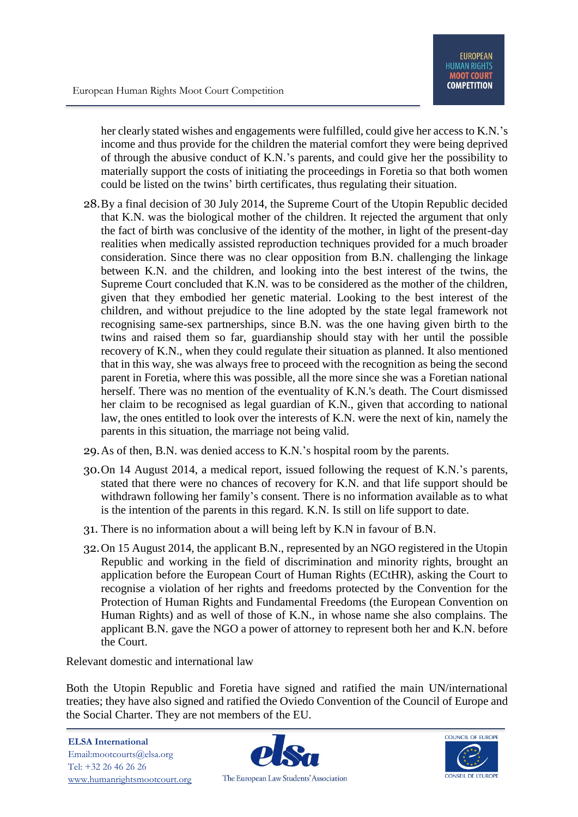her clearly stated wishes and engagements were fulfilled, could give her access to K.N.'s income and thus provide for the children the material comfort they were being deprived of through the abusive conduct of K.N.'s parents, and could give her the possibility to materially support the costs of initiating the proceedings in Foretia so that both women could be listed on the twins' birth certificates, thus regulating their situation.

- 28.By a final decision of 30 July 2014, the Supreme Court of the Utopin Republic decided that K.N. was the biological mother of the children. It rejected the argument that only the fact of birth was conclusive of the identity of the mother, in light of the present-day realities when medically assisted reproduction techniques provided for a much broader consideration. Since there was no clear opposition from B.N. challenging the linkage between K.N. and the children, and looking into the best interest of the twins, the Supreme Court concluded that K.N. was to be considered as the mother of the children, given that they embodied her genetic material. Looking to the best interest of the children, and without prejudice to the line adopted by the state legal framework not recognising same-sex partnerships, since B.N. was the one having given birth to the twins and raised them so far, guardianship should stay with her until the possible recovery of K.N., when they could regulate their situation as planned. It also mentioned that in this way, she was always free to proceed with the recognition as being the second parent in Foretia, where this was possible, all the more since she was a Foretian national herself. There was no mention of the eventuality of K.N.'s death. The Court dismissed her claim to be recognised as legal guardian of K.N., given that according to national law, the ones entitled to look over the interests of K.N. were the next of kin, namely the parents in this situation, the marriage not being valid.
- 29.As of then, B.N. was denied access to K.N.'s hospital room by the parents.
- 30.On 14 August 2014, a medical report, issued following the request of K.N.'s parents, stated that there were no chances of recovery for K.N. and that life support should be withdrawn following her family's consent. There is no information available as to what is the intention of the parents in this regard. K.N. Is still on life support to date.
- 31. There is no information about a will being left by K.N in favour of B.N.
- 32.On 15 August 2014, the applicant B.N., represented by an NGO registered in the Utopin Republic and working in the field of discrimination and minority rights, brought an application before the European Court of Human Rights (ECtHR), asking the Court to recognise a violation of her rights and freedoms protected by the Convention for the Protection of Human Rights and Fundamental Freedoms (the European Convention on Human Rights) and as well of those of K.N., in whose name she also complains. The applicant B.N. gave the NGO a power of attorney to represent both her and K.N. before the Court.

Relevant domestic and international law

Both the Utopin Republic and Foretia have signed and ratified the main UN/international treaties; they have also signed and ratified the Oviedo Convention of the Council of Europe and the Social Charter. They are not members of the EU.



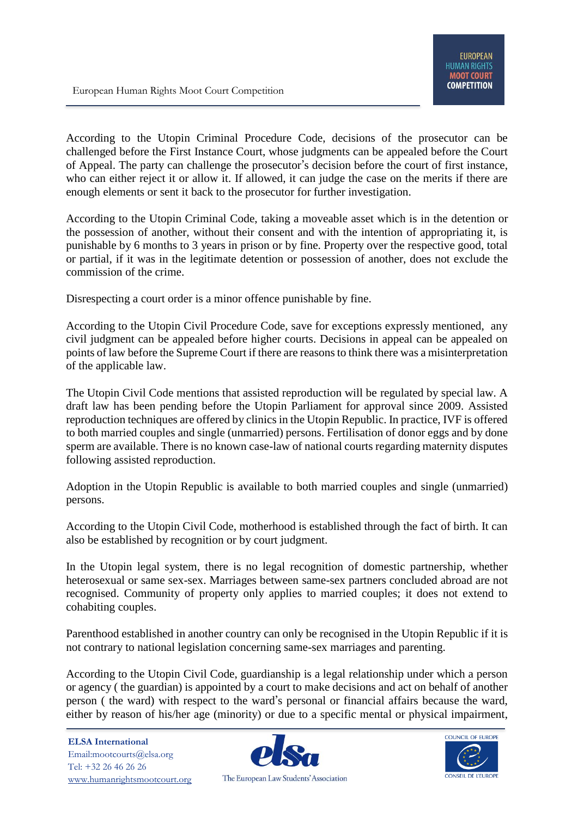According to the Utopin Criminal Procedure Code, decisions of the prosecutor can be challenged before the First Instance Court, whose judgments can be appealed before the Court of Appeal. The party can challenge the prosecutor's decision before the court of first instance, who can either reject it or allow it. If allowed, it can judge the case on the merits if there are enough elements or sent it back to the prosecutor for further investigation.

According to the Utopin Criminal Code, taking a moveable asset which is in the detention or the possession of another, without their consent and with the intention of appropriating it, is punishable by 6 months to 3 years in prison or by fine. Property over the respective good, total or partial, if it was in the legitimate detention or possession of another, does not exclude the commission of the crime.

Disrespecting a court order is a minor offence punishable by fine.

According to the Utopin Civil Procedure Code, save for exceptions expressly mentioned, any civil judgment can be appealed before higher courts. Decisions in appeal can be appealed on points of law before the Supreme Court if there are reasons to think there was a misinterpretation of the applicable law.

The Utopin Civil Code mentions that assisted reproduction will be regulated by special law. A draft law has been pending before the Utopin Parliament for approval since 2009. Assisted reproduction techniques are offered by clinics in the Utopin Republic. In practice, IVF is offered to both married couples and single (unmarried) persons. Fertilisation of donor eggs and by done sperm are available. There is no known case-law of national courts regarding maternity disputes following assisted reproduction.

Adoption in the Utopin Republic is available to both married couples and single (unmarried) persons.

According to the Utopin Civil Code, motherhood is established through the fact of birth. It can also be established by recognition or by court judgment.

In the Utopin legal system, there is no legal recognition of domestic partnership, whether heterosexual or same sex-sex. Marriages between same-sex partners concluded abroad are not recognised. Community of property only applies to married couples; it does not extend to cohabiting couples.

Parenthood established in another country can only be recognised in the Utopin Republic if it is not contrary to national legislation concerning same-sex marriages and parenting.

According to the Utopin Civil Code, guardianship is a legal relationship under which a person or agency ( the guardian) is appointed by a court to make decisions and act on behalf of another person ( the ward) with respect to the ward's personal or financial affairs because the ward, either by reason of his/her age (minority) or due to a specific mental or physical impairment,

**ELSA International** Email:mootcourts@elsa.org Tel: +32 26 46 26 26 [www.humanrightsmootcourt.org](http://www.humanrightsmootcourt.org/)